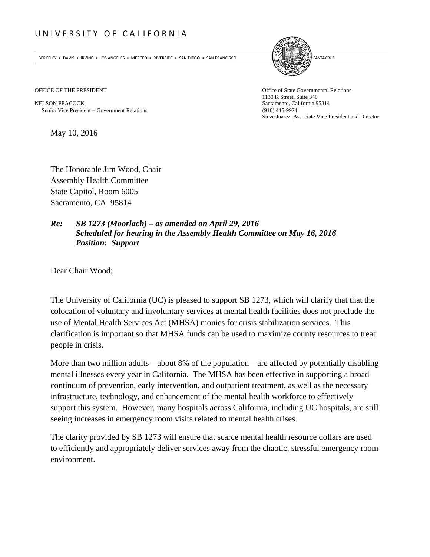## UNIVERSITY OF CALIFORNIA

BERKELEY • DAVIS • IRVINE • LOS ANGELES • MERCED • RIVERSIDE • SAN DIEGO • SAN FRANCISCO **INTERNATIONAL ENCLIPTION** 



NELSON PEACOCK Sacramento, California 95814 Senior Vice President Government Relations (916) 445-9924

OFFICE OF THE PRESIDENT **Office of State Governmental Relations** 1130 K Street, Suite 340 Steve Juarez, Associate Vice President and Director

May 10, 2016

The Honorable Jim Wood, Chair Assembly Health Committee State Capitol, Room 6005 Sacramento, CA 95814

## *Re: SB 1273 (Moorlach) – as amended on April 29, 2016 Scheduled for hearing in the Assembly Health Committee on May 16, 2016 Position: Support*

Dear Chair Wood;

The University of California (UC) is pleased to support SB 1273, which will clarify that that the colocation of voluntary and involuntary services at mental health facilities does not preclude the use of Mental Health Services Act (MHSA) monies for crisis stabilization services. This clarification is important so that MHSA funds can be used to maximize county resources to treat people in crisis.

More than two million adults—about 8% of the population—are affected by potentially disabling mental illnesses every year in California. The MHSA has been effective in supporting a broad continuum of prevention, early intervention, and outpatient treatment, as well as the necessary infrastructure, technology, and enhancement of the mental health workforce to effectively support this system. However, many hospitals across California, including UC hospitals, are still seeing increases in emergency room visits related to mental health crises.

The clarity provided by SB 1273 will ensure that scarce mental health resource dollars are used to efficiently and appropriately deliver services away from the chaotic, stressful emergency room environment.